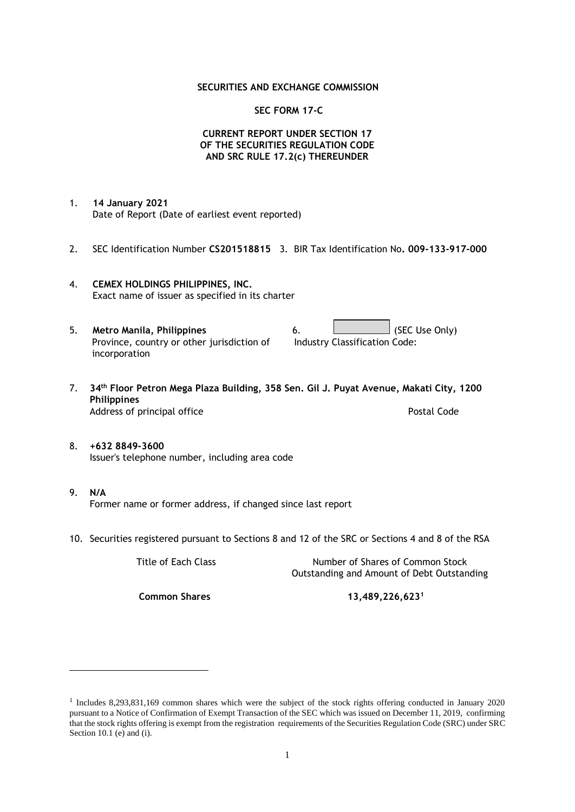#### **SECURITIES AND EXCHANGE COMMISSION**

#### **SEC FORM 17-C**

### **CURRENT REPORT UNDER SECTION 17 OF THE SECURITIES REGULATION CODE AND SRC RULE 17.2(c) THEREUNDER**

- 1. **14 January 2021** Date of Report (Date of earliest event reported)
- 2. SEC Identification Number **CS201518815** 3. BIR Tax Identification No**. 009-133-917-000**
- 4. **CEMEX HOLDINGS PHILIPPINES, INC.** Exact name of issuer as specified in its charter
- 5. **Metro Manila, Philippines** 6. **Consumers 6.** (SEC Use Only) Province, country or other jurisdiction of incorporation Industry Classification Code:
- 7. **34th Floor Petron Mega Plaza Building, 358 Sen. Gil J. Puyat Avenue, Makati City, 1200 Philippines** Address of principal office **Postal Code** Postal Code
- 8. **+632 8849-3600** Issuer's telephone number, including area code
- 9. **N/A** Former name or former address, if changed since last report
- 10. Securities registered pursuant to Sections 8 and 12 of the SRC or Sections 4 and 8 of the RSA

Title of Each Class Number of Shares of Common Stock Outstanding and Amount of Debt Outstanding

**Common Shares 13,489,226,623<sup>1</sup>**

<sup>1</sup> Includes 8,293,831,169 common shares which were the subject of the stock rights offering conducted in January 2020 pursuant to a Notice of Confirmation of Exempt Transaction of the SEC which was issued on December 11, 2019, confirming that the stock rights offering is exempt from the registration requirements of the Securities Regulation Code (SRC) under SRC Section 10.1 (e) and (i).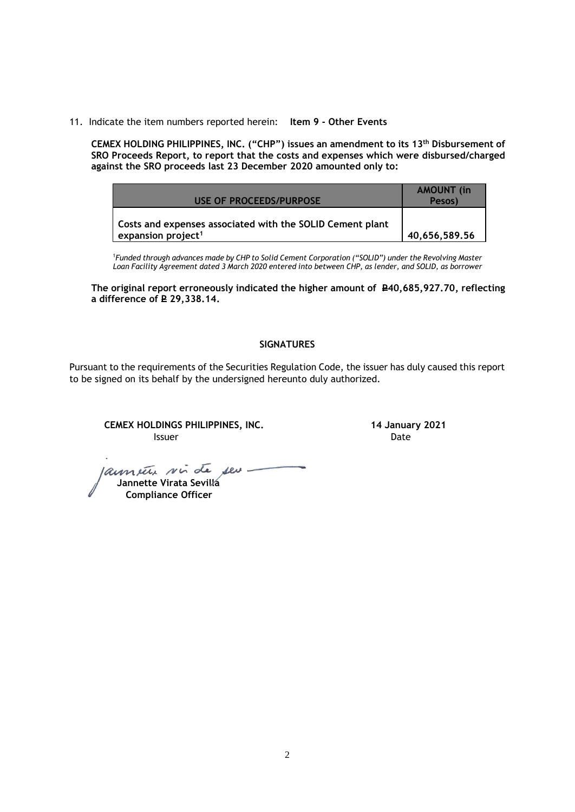11. Indicate the item numbers reported herein: **Item 9 - Other Events**

**CEMEX HOLDING PHILIPPINES, INC. ("CHP") issues an amendment to its 13 th Disbursement of SRO Proceeds Report, to report that the costs and expenses which were disbursed/charged against the SRO proceeds last 23 December 2020 amounted only to:**

|                                                           | <b>AMOUNT</b> (in |
|-----------------------------------------------------------|-------------------|
| USE OF PROCEEDS/PURPOSE                                   | Pesos)            |
| Costs and expenses associated with the SOLID Cement plant |                   |
| expansion project <sup>1</sup>                            | 40,656,589.56     |

<sup>1</sup>*Funded through advances made by CHP to Solid Cement Corporation ("SOLID") under the Revolving Master Loan Facility Agreement dated 3 March 2020 entered into between CHP, as lender, and SOLID, as borrower*

**The original report erroneously indicated the higher amount of P40,685,927.70, reflecting a difference of <del>P</del>** 29,338.14.

## **SIGNATURES**

Pursuant to the requirements of the Securities Regulation Code, the issuer has duly caused this report to be signed on its behalf by the undersigned hereunto duly authorized.

**CEMEX HOLDINGS PHILIPPINES, INC. 14 January 2021 Issuer Date** 

launete sin de seu - **Jannette Virata Sevilla**

 **Compliance Officer**